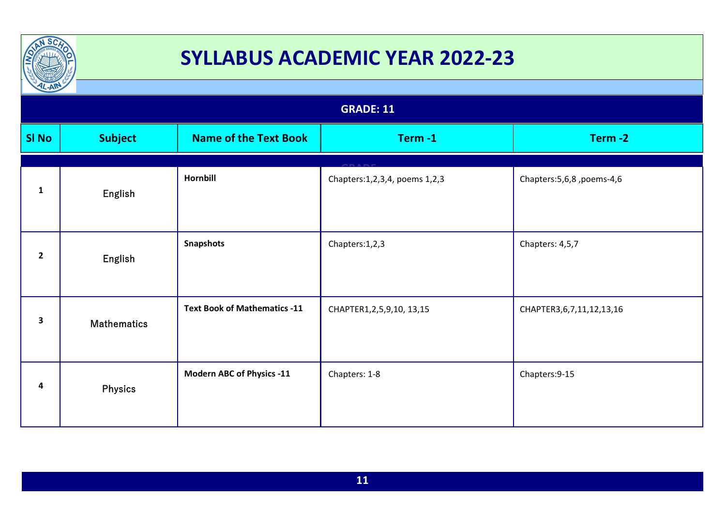

| $\frac{1}{2}$<br><b>GRADE: 11</b> |                    |                                     |                                     |                               |  |
|-----------------------------------|--------------------|-------------------------------------|-------------------------------------|-------------------------------|--|
| <b>SI No</b>                      | <b>Subject</b>     | <b>Name of the Text Book</b>        | Term-1                              | Term-2                        |  |
| $\mathbf{1}$                      | English            | <b>Hornbill</b>                     | Chapters: 1, 2, 3, 4, poems 1, 2, 3 | Chapters: 5, 6, 8, poems-4, 6 |  |
| $\mathbf{2}$                      | English            | <b>Snapshots</b>                    | Chapters:1,2,3                      | Chapters: 4,5,7               |  |
| 3                                 | <b>Mathematics</b> | <b>Text Book of Mathematics -11</b> | CHAPTER1,2,5,9,10, 13,15            | CHAPTER3,6,7,11,12,13,16      |  |
| 4                                 | <b>Physics</b>     | <b>Modern ABC of Physics -11</b>    | Chapters: 1-8                       | Chapters: 9-15                |  |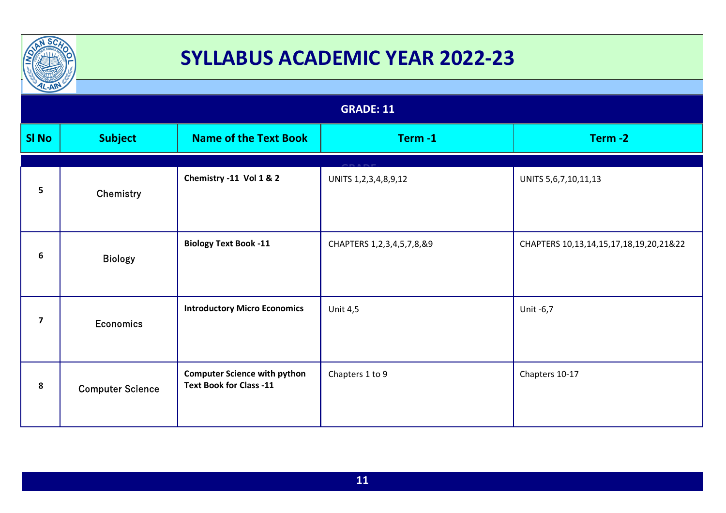

| $\frac{1}{2}$  |                         |                                                                       |                            |                                        |  |  |
|----------------|-------------------------|-----------------------------------------------------------------------|----------------------------|----------------------------------------|--|--|
|                | <b>GRADE: 11</b>        |                                                                       |                            |                                        |  |  |
| <b>SI No</b>   | <b>Subject</b>          | <b>Name of the Text Book</b>                                          | Term-1                     | Term-2                                 |  |  |
| 5              | Chemistry               | Chemistry -11 Vol 1 & 2                                               | UNITS 1, 2, 3, 4, 8, 9, 12 | UNITS 5,6,7,10,11,13                   |  |  |
| 6              | <b>Biology</b>          | <b>Biology Text Book -11</b>                                          | CHAPTERS 1,2,3,4,5,7,8,&9  | CHAPTERS 10,13,14,15,17,18,19,20,21&22 |  |  |
| $\overline{7}$ | <b>Economics</b>        | <b>Introductory Micro Economics</b>                                   | <b>Unit 4,5</b>            | Unit -6,7                              |  |  |
| 8              | <b>Computer Science</b> | <b>Computer Science with python</b><br><b>Text Book for Class -11</b> | Chapters 1 to 9            | Chapters 10-17                         |  |  |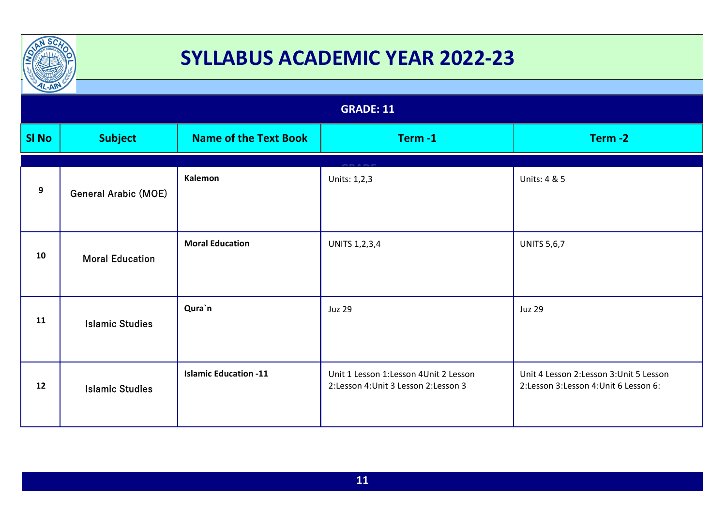

| $L-AW$<br><b>GRADE: 11</b> |                             |                              |                                       |                                          |  |  |
|----------------------------|-----------------------------|------------------------------|---------------------------------------|------------------------------------------|--|--|
|                            |                             |                              |                                       |                                          |  |  |
| <b>SI No</b>               | <b>Subject</b>              | <b>Name of the Text Book</b> | Term-1                                | Term-2                                   |  |  |
|                            |                             |                              |                                       |                                          |  |  |
|                            |                             | Kalemon                      | Units: 1,2,3                          | Units: 4 & 5                             |  |  |
| 9                          | <b>General Arabic (MOE)</b> |                              |                                       |                                          |  |  |
|                            |                             |                              |                                       |                                          |  |  |
| 10                         | <b>Moral Education</b>      | <b>Moral Education</b>       | <b>UNITS 1,2,3,4</b>                  | <b>UNITS 5,6,7</b>                       |  |  |
|                            |                             |                              |                                       |                                          |  |  |
|                            |                             |                              |                                       |                                          |  |  |
| 11                         |                             | Qura`n                       | <b>Juz 29</b>                         | <b>Juz 29</b>                            |  |  |
|                            | <b>Islamic Studies</b>      |                              |                                       |                                          |  |  |
|                            |                             |                              |                                       |                                          |  |  |
| 12                         |                             | <b>Islamic Education -11</b> | Unit 1 Lesson 1:Lesson 4Unit 2 Lesson | Unit 4 Lesson 2: Lesson 3: Unit 5 Lesson |  |  |
|                            | <b>Islamic Studies</b>      |                              | 2:Lesson 4: Unit 3 Lesson 2: Lesson 3 | 2:Lesson 3:Lesson 4:Unit 6 Lesson 6:     |  |  |
|                            |                             |                              |                                       |                                          |  |  |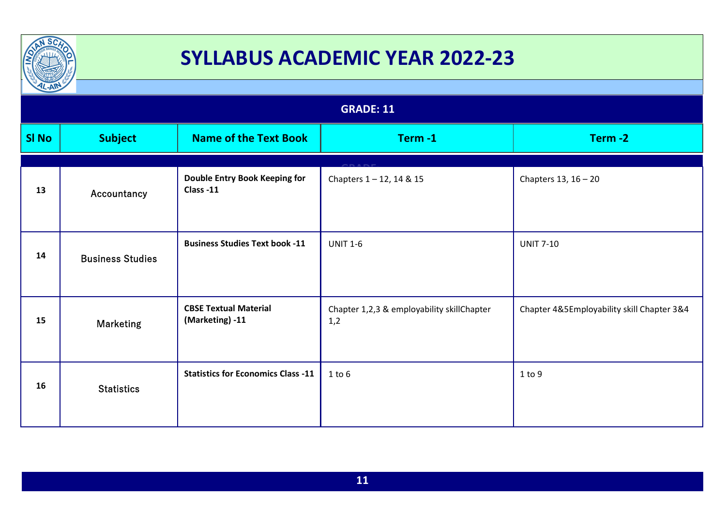

| $L-AW$       |                         |                                                 |                                                   |                                            |  |  |
|--------------|-------------------------|-------------------------------------------------|---------------------------------------------------|--------------------------------------------|--|--|
|              | <b>GRADE: 11</b>        |                                                 |                                                   |                                            |  |  |
| <b>SI No</b> | <b>Subject</b>          | <b>Name of the Text Book</b>                    | Term-1                                            | Term-2                                     |  |  |
| 13           | Accountancy             | Double Entry Book Keeping for<br>Class -11      | Chapters 1-12, 14 & 15                            | Chapters $13, 16 - 20$                     |  |  |
| 14           | <b>Business Studies</b> | <b>Business Studies Text book -11</b>           | <b>UNIT 1-6</b>                                   | <b>UNIT 7-10</b>                           |  |  |
| 15           | <b>Marketing</b>        | <b>CBSE Textual Material</b><br>(Marketing) -11 | Chapter 1,2,3 & employability skillChapter<br>1,2 | Chapter 4&5Employability skill Chapter 3&4 |  |  |
| 16           | <b>Statistics</b>       | <b>Statistics for Economics Class -11</b>       | $1$ to $6$                                        | 1 to 9                                     |  |  |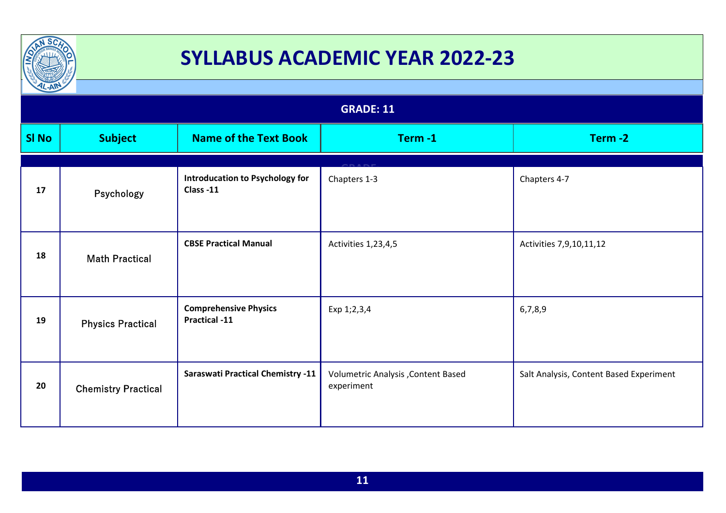

| $\frac{1}{2}$ |                            |                                                      |                                                  |                                         |  |  |
|---------------|----------------------------|------------------------------------------------------|--------------------------------------------------|-----------------------------------------|--|--|
|               | <b>GRADE: 11</b>           |                                                      |                                                  |                                         |  |  |
| <b>SI No</b>  | <b>Subject</b>             | <b>Name of the Text Book</b>                         | Term-1                                           | Term-2                                  |  |  |
| 17            | Psychology                 | <b>Introducation to Psychology for</b><br>Class -11  | Chapters 1-3                                     | Chapters 4-7                            |  |  |
| 18            | <b>Math Practical</b>      | <b>CBSE Practical Manual</b>                         | Activities 1,23,4,5                              | Activities 7,9,10,11,12                 |  |  |
| 19            | <b>Physics Practical</b>   | <b>Comprehensive Physics</b><br><b>Practical -11</b> | Exp 1;2,3,4                                      | 6,7,8,9                                 |  |  |
| 20            | <b>Chemistry Practical</b> | <b>Saraswati Practical Chemistry -11</b>             | Volumetric Analysis, Content Based<br>experiment | Salt Analysis, Content Based Experiment |  |  |